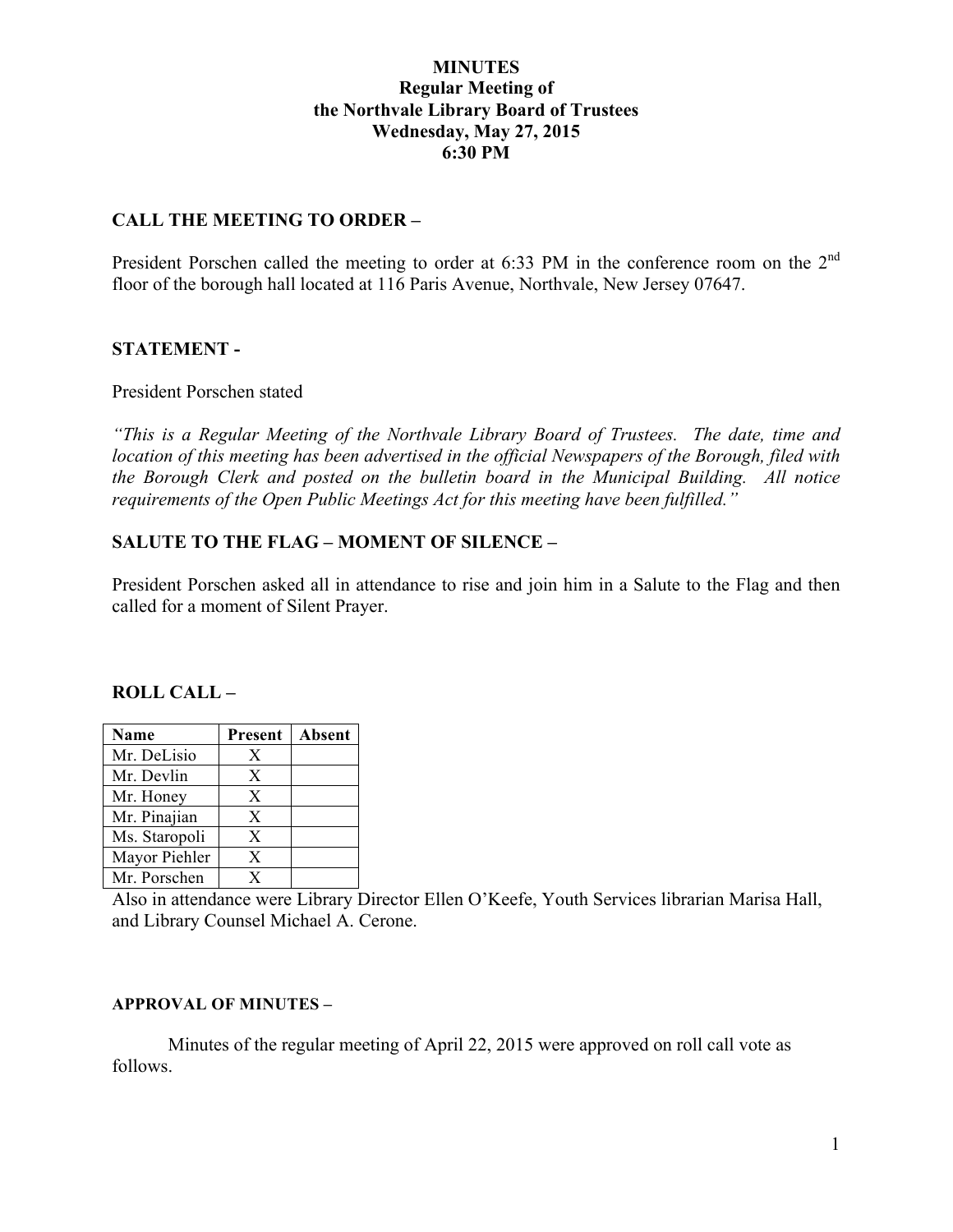### **MINUTES Regular Meeting of the Northvale Library Board of Trustees Wednesday, May 27, 2015 6:30 PM**

### **CALL THE MEETING TO ORDER –**

President Porschen called the meeting to order at 6:33 PM in the conference room on the 2<sup>nd</sup> floor of the borough hall located at 116 Paris Avenue, Northvale, New Jersey 07647.

### **STATEMENT -**

#### President Porschen stated

*"This is a Regular Meeting of the Northvale Library Board of Trustees. The date, time and location of this meeting has been advertised in the official Newspapers of the Borough, filed with the Borough Clerk and posted on the bulletin board in the Municipal Building. All notice requirements of the Open Public Meetings Act for this meeting have been fulfilled."* 

### **SALUTE TO THE FLAG – MOMENT OF SILENCE –**

President Porschen asked all in attendance to rise and join him in a Salute to the Flag and then called for a moment of Silent Prayer.

#### **ROLL CALL –**

| <b>Name</b>   | Present | Absent |
|---------------|---------|--------|
| Mr. DeLisio   | X       |        |
| Mr. Devlin    | X       |        |
| Mr. Honey     | X       |        |
| Mr. Pinajian  | X       |        |
| Ms. Staropoli | X       |        |
| Mayor Piehler | X       |        |
| Mr. Porschen  | Y       |        |

Also in attendance were Library Director Ellen O'Keefe, Youth Services librarian Marisa Hall, and Library Counsel Michael A. Cerone.

#### **APPROVAL OF MINUTES –**

Minutes of the regular meeting of April 22, 2015 were approved on roll call vote as follows.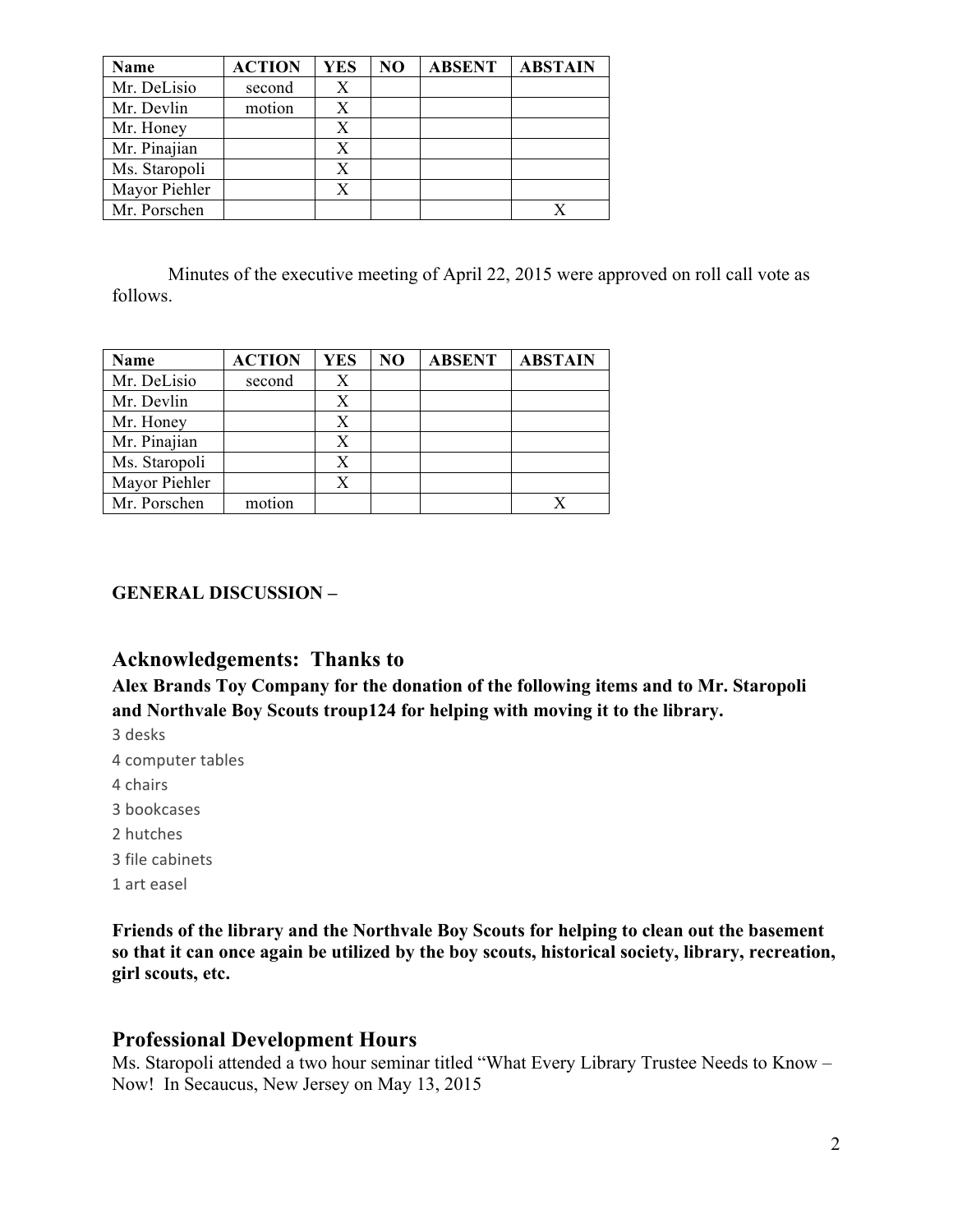| Name          | <b>ACTION</b> | <b>YES</b> | N <sub>O</sub> | <b>ABSENT</b> | <b>ABSTAIN</b> |
|---------------|---------------|------------|----------------|---------------|----------------|
| Mr. DeLisio   | second        | X          |                |               |                |
| Mr. Devlin    | motion        | X          |                |               |                |
| Mr. Honey     |               | Х          |                |               |                |
| Mr. Pinajian  |               | X          |                |               |                |
| Ms. Staropoli |               | Х          |                |               |                |
| Mayor Piehler |               | X          |                |               |                |
| Mr. Porschen  |               |            |                |               |                |

Minutes of the executive meeting of April 22, 2015 were approved on roll call vote as follows.

| Name          | <b>ACTION</b> | <b>YES</b> | N <sub>O</sub> | <b>ABSENT</b> | <b>ABSTAIN</b> |
|---------------|---------------|------------|----------------|---------------|----------------|
| Mr. DeLisio   | second        | X          |                |               |                |
| Mr. Devlin    |               |            |                |               |                |
| Mr. Honey     |               |            |                |               |                |
| Mr. Pinajian  |               |            |                |               |                |
| Ms. Staropoli |               |            |                |               |                |
| Mayor Piehler |               |            |                |               |                |
| Mr. Porschen  | motion        |            |                |               |                |

### **GENERAL DISCUSSION –**

## **Acknowledgements: Thanks to**

**Alex Brands Toy Company for the donation of the following items and to Mr. Staropoli and Northvale Boy Scouts troup124 for helping with moving it to the library.**

- 3 desks
- 4 computer tables
- 4 chairs
- 3 bookcases
- 2 hutches
- 3 file cabinets
- 1 art easel

**Friends of the library and the Northvale Boy Scouts for helping to clean out the basement so that it can once again be utilized by the boy scouts, historical society, library, recreation, girl scouts, etc.**

### **Professional Development Hours**

Ms. Staropoli attended a two hour seminar titled "What Every Library Trustee Needs to Know – Now! In Secaucus, New Jersey on May 13, 2015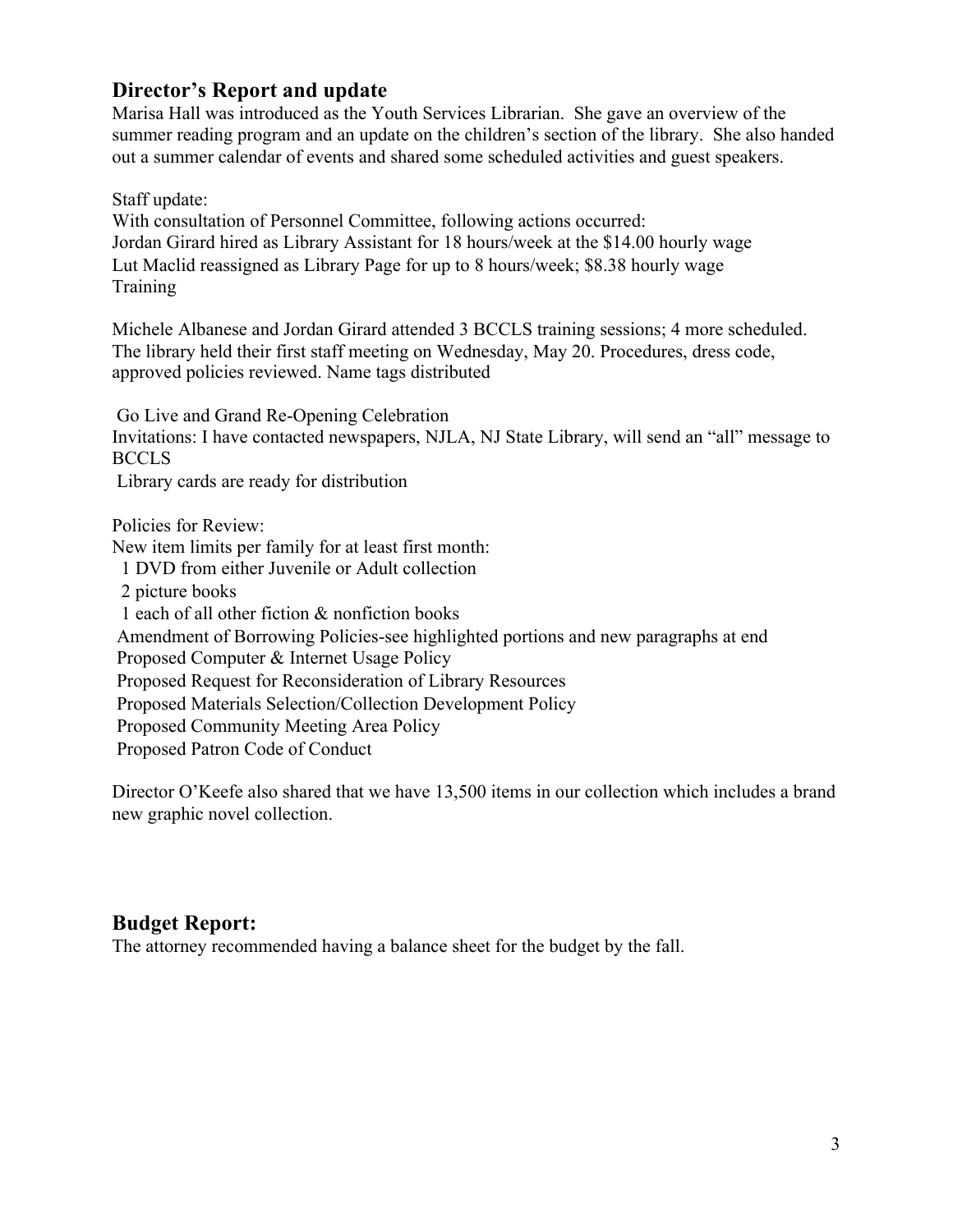## **Director's Report and update**

Marisa Hall was introduced as the Youth Services Librarian. She gave an overview of the summer reading program and an update on the children's section of the library. She also handed out a summer calendar of events and shared some scheduled activities and guest speakers.

Staff update:

With consultation of Personnel Committee, following actions occurred: Jordan Girard hired as Library Assistant for 18 hours/week at the \$14.00 hourly wage Lut Maclid reassigned as Library Page for up to 8 hours/week; \$8.38 hourly wage **Training** 

Michele Albanese and Jordan Girard attended 3 BCCLS training sessions; 4 more scheduled. The library held their first staff meeting on Wednesday, May 20. Procedures, dress code, approved policies reviewed. Name tags distributed

Go Live and Grand Re-Opening Celebration

Invitations: I have contacted newspapers, NJLA, NJ State Library, will send an "all" message to BCCLS

Library cards are ready for distribution

Policies for Review:

New item limits per family for at least first month:

1 DVD from either Juvenile or Adult collection

2 picture books

1 each of all other fiction & nonfiction books

Amendment of Borrowing Policies-see highlighted portions and new paragraphs at end

Proposed Computer & Internet Usage Policy

Proposed Request for Reconsideration of Library Resources

Proposed Materials Selection/Collection Development Policy

Proposed Community Meeting Area Policy

Proposed Patron Code of Conduct

Director O'Keefe also shared that we have 13,500 items in our collection which includes a brand new graphic novel collection.

### **Budget Report:**

The attorney recommended having a balance sheet for the budget by the fall.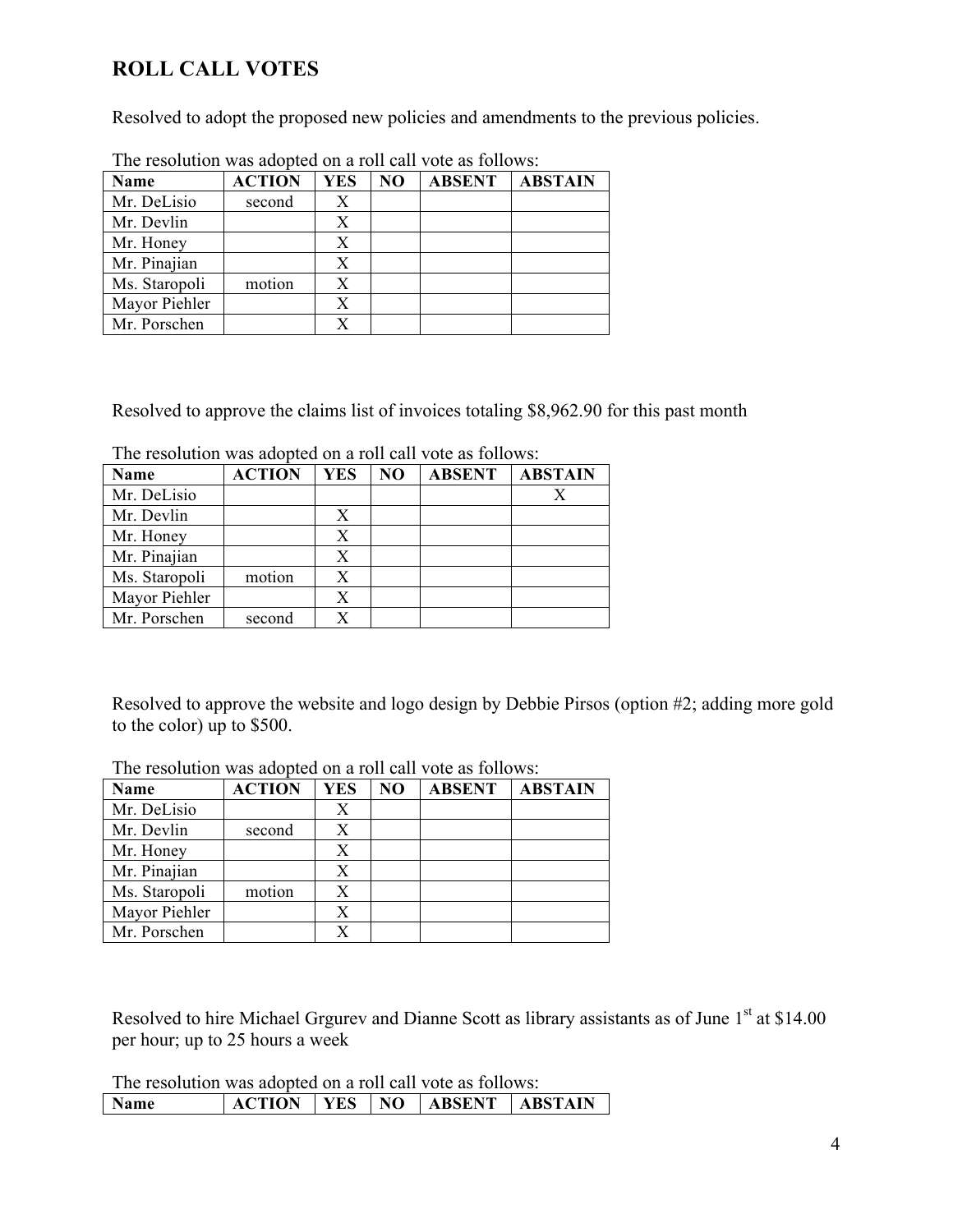# **ROLL CALL VOTES**

Resolved to adopt the proposed new policies and amendments to the previous policies.

| <b>Name</b>   | <b>ACTION</b> | <b>YES</b> | NO | <b>ABSENT</b> | <b>ABSTAIN</b> |  |
|---------------|---------------|------------|----|---------------|----------------|--|
| Mr. DeLisio   | second        | X          |    |               |                |  |
| Mr. Devlin    |               | Х          |    |               |                |  |
| Mr. Honey     |               | X          |    |               |                |  |
| Mr. Pinajian  |               | X          |    |               |                |  |
| Ms. Staropoli | motion        | Х          |    |               |                |  |
| Mayor Piehler |               | X          |    |               |                |  |
| Mr. Porschen  |               |            |    |               |                |  |

The resolution was adopted on a roll call vote as follows:

Resolved to approve the claims list of invoices totaling \$8,962.90 for this past month

| <b>Name</b>   | <b>ACTION</b> | <b>YES</b> | N <sub>O</sub> | <b>ABSENT</b> | <b>ABSTAIN</b> |
|---------------|---------------|------------|----------------|---------------|----------------|
| Mr. DeLisio   |               |            |                |               |                |
| Mr. Devlin    |               | Х          |                |               |                |
| Mr. Honey     |               | Х          |                |               |                |
| Mr. Pinajian  |               | X          |                |               |                |
| Ms. Staropoli | motion        | Х          |                |               |                |
| Mayor Piehler |               | Х          |                |               |                |
| Mr. Porschen  | second        | Х          |                |               |                |

Resolved to approve the website and logo design by Debbie Pirsos (option #2; adding more gold to the color) up to \$500.

| The resolution was adopted on a foll can vote as follows. |               |            |    |               |                |  |  |
|-----------------------------------------------------------|---------------|------------|----|---------------|----------------|--|--|
| <b>Name</b>                                               | <b>ACTION</b> | <b>YES</b> | NO | <b>ABSENT</b> | <b>ABSTAIN</b> |  |  |
| Mr. DeLisio                                               |               | Χ          |    |               |                |  |  |
| Mr. Devlin                                                | second        | X          |    |               |                |  |  |
| Mr. Honey                                                 |               | Х          |    |               |                |  |  |
| Mr. Pinajian                                              |               | X          |    |               |                |  |  |
| Ms. Staropoli                                             | motion        | X          |    |               |                |  |  |
| Mayor Piehler                                             |               |            |    |               |                |  |  |
| Mr. Porschen                                              |               |            |    |               |                |  |  |

The resolution was adopted on a roll call vote as follows:

Resolved to hire Michael Grgurev and Dianne Scott as library assistants as of June 1<sup>st</sup> at \$14.00 per hour; up to 25 hours a week

The resolution was adopted on a roll call vote as follows: **Name ACTION YES NO ABSENT ABSTAIN**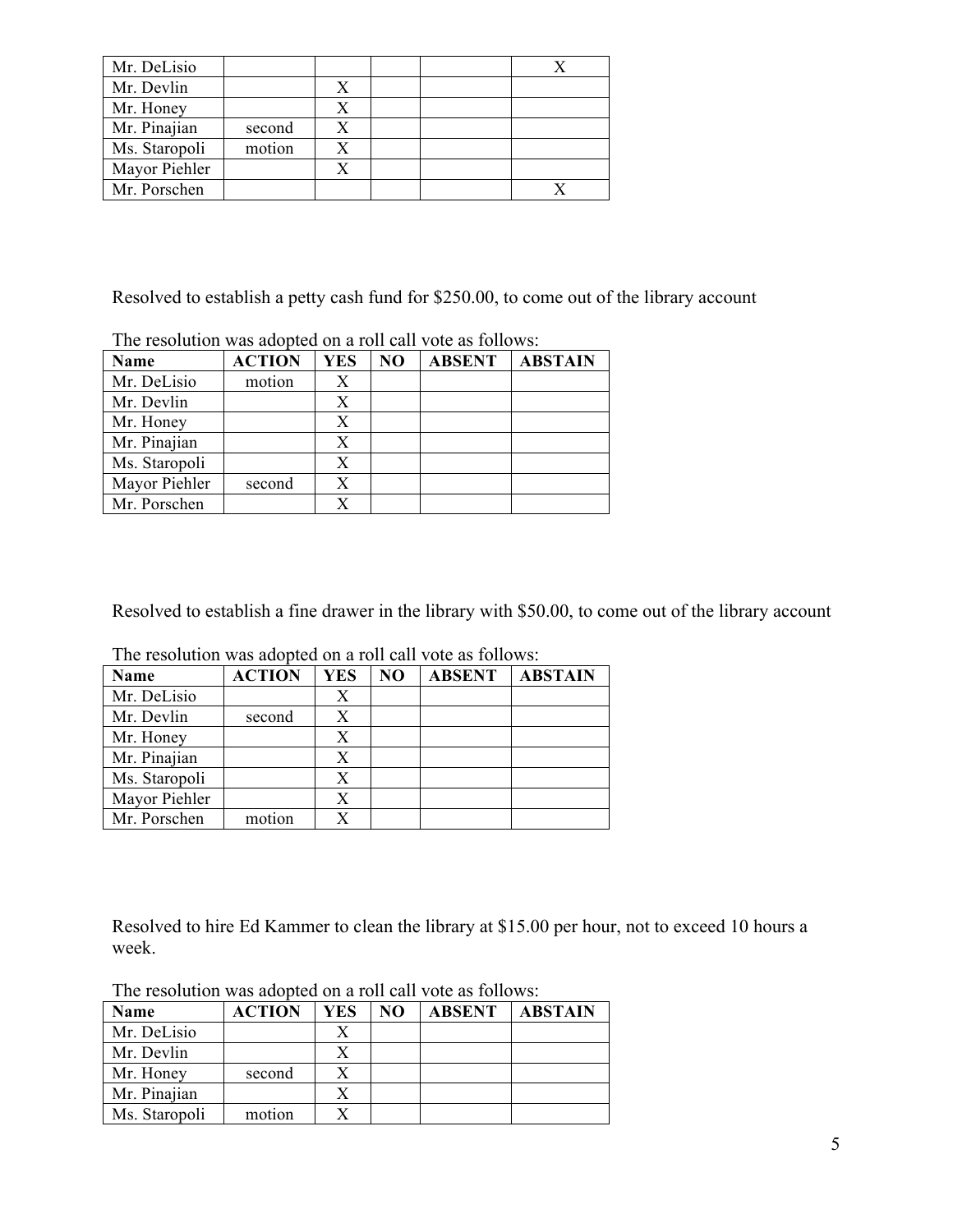| Mr. DeLisio   |        |  |  |
|---------------|--------|--|--|
| Mr. Devlin    |        |  |  |
| Mr. Honey     |        |  |  |
| Mr. Pinajian  | second |  |  |
| Ms. Staropoli | motion |  |  |
| Mayor Piehler |        |  |  |
| Mr. Porschen  |        |  |  |

Resolved to establish a petty cash fund for \$250.00, to come out of the library account

|               | THE TESORIAL RAS AGODIE ON A TON EAN TOIR AS TONO RU. |            |    |               |                |  |  |
|---------------|-------------------------------------------------------|------------|----|---------------|----------------|--|--|
| Name          | <b>ACTION</b>                                         | <b>YES</b> | NO | <b>ABSENT</b> | <b>ABSTAIN</b> |  |  |
| Mr. DeLisio   | motion                                                |            |    |               |                |  |  |
| Mr. Devlin    |                                                       |            |    |               |                |  |  |
| Mr. Honey     |                                                       |            |    |               |                |  |  |
| Mr. Pinajian  |                                                       |            |    |               |                |  |  |
| Ms. Staropoli |                                                       | X          |    |               |                |  |  |
| Mayor Piehler | second                                                |            |    |               |                |  |  |
| Mr. Porschen  |                                                       |            |    |               |                |  |  |

The resolution was adopted on a roll call vote as follows:

Resolved to establish a fine drawer in the library with \$50.00, to come out of the library account

| <b>Name</b>   | <b>ACTION</b> | <b>YES</b> | NO | <b>ABSENT</b> | <b>ABSTAIN</b> |
|---------------|---------------|------------|----|---------------|----------------|
|               |               |            |    |               |                |
| Mr. DeLisio   |               | Х          |    |               |                |
| Mr. Devlin    | second        | Х          |    |               |                |
| Mr. Honey     |               | X          |    |               |                |
| Mr. Pinajian  |               | X          |    |               |                |
| Ms. Staropoli |               | X          |    |               |                |
| Mayor Piehler |               | X          |    |               |                |
| Mr. Porschen  | motion        |            |    |               |                |

The resolution was adopted on a roll call vote as follows:

Resolved to hire Ed Kammer to clean the library at \$15.00 per hour, not to exceed 10 hours a week.

| Name          | <b>ACTION</b> | YES | NO | <b>ABSENT</b> | <b>ABSTAIN</b> |
|---------------|---------------|-----|----|---------------|----------------|
| Mr. DeLisio   |               |     |    |               |                |
| Mr. Devlin    |               |     |    |               |                |
| Mr. Honey     | second        |     |    |               |                |
| Mr. Pinajian  |               |     |    |               |                |
| Ms. Staropoli | motion        |     |    |               |                |

The resolution was adopted on a roll call vote as follows: